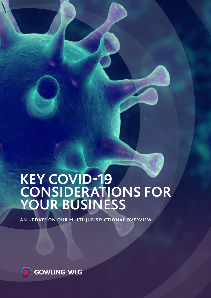# **KEY COVID-19 CONSIDERATIONS FOR YOUR BUSINESS**

**AN UPDATE ON OUR MULTI-JURISDICTIONAL OVERVIEW**

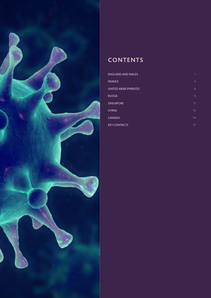

### **CONTENTS**

| <b>ENGLAND AND WALES</b> | 1              |
|--------------------------|----------------|
| <b>FRANCE</b>            | $\overline{4}$ |
| UNITED ARAB EMIRATES     | 6              |
| <b>RUSSIA</b>            | 9              |
| <b>SINGAPORE</b>         | 11             |
| <b>CHINA</b>             | 13             |
| <b>CANADA</b>            | 14             |
| <b>KEY CONTACTS</b>      | 17             |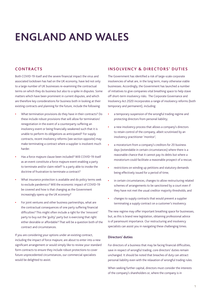### <span id="page-2-0"></span>**ENGLAND AND WALES**

#### **CONTRACTS**

Both COVID-19 itself and the severe financial impact the virus and associated lockdown has had on the UK economy, have led not only to a large number of UK businesses re-examining the contractual terms on which they do business but also to a spike in disputes. Some matters which have been prominent in current disputes, and which are therefore key considerations for business both in looking at their existing contracts and planning for the future, include the following:

- **•** What termination provisions do they have in their contracts? Do these include robust provisions that will allow for termination/ renegotiation in the event of a counterparty suffering an insolvency event or being financially weakened such that it is unable to perform its obligations as anticipated? For supply contracts, recent insolvency reforms (see section opposite) may make terminating a contract where a supplier is insolvent much harder.
- **•** Has a force majeure clause been included? Will COVID-19 itself as an event constitute a force majeure event enabling a party to terminate and/or claim relief? Is a party able to invoke the doctrine of frustration to terminate a contract?
- **•** What insurance protection is available and do policy terms seek to exclude pandemics? Will the economic impact of COVID-19 be covered and how is that changing as the Government increasingly opens up the UK economy?
- **•** For joint ventures and other business partnerships, what are the contractual consequences of one party suffering financial difficulties? This might often include a right for the 'innocent' party to buy out the 'guilty' party but is exercising that right either desirable or affordable? That will be a question both of the contract and circumstances.

If you are considering your options under an existing contract, including the impact of force majeure; are about to enter into a new significant arrangement or would simply like to review your standard form contracts to ensure they include robust protections to cover future unprecedented circumstances, our commercial specialists would be delighted to assist.

#### **INSOLVENCY & DIRECTORS' DUTIES**

The Government has identified a risk of large-scale corporate insolvencies of what are, in the long term, many otherwise viable businesses. Accordingly, the Government has launched a number of initiatives to give companies vital breathing space to help stave off short-term insolvency risks. The Corporate Governance and Insolvency Act 2020 incorporates a range of insolvency reforms (both temporary and permanent), including:

- **•** a temporary suspension of the wrongful trading regime and protecting directors from personal liability;
- **•** a new insolvency process that allows a company's directors to retain control of the company, albeit scrutinised by an insolvency practitioner 'monitor';
- **•** a moratorium from a company's creditors for 20 business days (extendable in certain circumstances) where there is a reasonable chance that it cannot pay its debts but where a moratorium could facilitate a reasonable prospect of a rescue;
- **•** restrictions on winding up petitions and statutory demands being effectively issued for a period of time;
- **•** in certain circumstances, changes to allow restructuring related schemes of arrangements to be sanctioned by a court even if they have not met the usual creditor majority thresholds; and
- **•** changes to supply contracts that would prevent a supplier terminating a supply contract on a customer's insolvency.

The new regime may offer important breathing space for businesses, but, as this is brand new legislation, obtaining professional advice is of paramount importance. Our restructuring and insolvency specialists can assist you in navigating these challenging times.

#### **Directors' duties**

For directors of a business that may be facing financial difficulties, save in respect of wrongful trading, core directors' duties remain unchanged. It should be noted that breaches of duty can attract personal liability even with the relaxation of wrongful trading rules.

When seeking further capital, directors must consider the interests of the company's shareholders or, where the company is in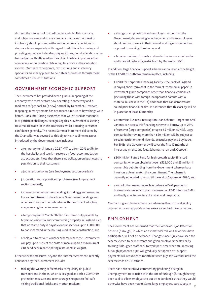distress, the interests of its creditors as a whole. This is a tricky and subjective area and so any company that faces the threat of insolvency should proceed with caution before any decisions or steps are taken, especially with regard to additional borrowing and providing assurances to lenders; paying intra-group dividends or other transactions with affiliated entities. It is of critical importance that companies in this position obtain regular advice as their situation evolves. Our team of corporate, restructuring and insolvency specialists are ideally placed to help steer businesses through these sometimes turbulent situations.

#### **GOVERNMENT ECONOMIC SUPPORT**

The Government has presided over a gradual reopening of the economy with most sectors now operating in some way and a road map to 'get back to (a new) normal' by December. However, reopening in many sectors has not meant a return to how things were before. Consumer-facing businesses that were closed or moribund face particular challenges. Recognising this, Government is seeking to stimulate trade for those businesses whilst boosting consumer confidence generally. The recent Summer Statement delivered by the Chancellor was devoted to this objective. Headline measures introduced by the Government have included:

- **•** a temporary (until January 2021) VAT cut from 20% to 5% for the hospitality and tourism sectors on food, accommodation, attractions etc. Note that there is no obligation on businesses to pass this on to their customers;
- **•** a job retention bonus (see Employment section overleaf);
- **•** job creation and apprenticeship schemes (see Employment section overleaf);
- **•** increases in infrastructure spending, including green measures like a commitment to decarbonise Government buildings and schemes to support householders with the costs of adopting energy-saving home improvements;
- **•** a temporary (until March 2021) cut in stamp duty payable by buyers of residential (not commercial) property in England such that no stamp duty is payable on transactions up to £500,000, to boost demand in the housing market and construction; and
- **•** a 'help out to eat out' voucher scheme where the Government will pay up to 50% of the costs of meals (up to a maximum of £10 per diner) in participating restaurants in August.

Other relevant measures, beyond the Summer Statement, recently announced by the Government include:

**•** making the wearing of facemasks compulsory on public transport and in shops, which is designed as both a COVID-19 protection measure and to encourage shoppers to feel safe visiting traditional 'bricks and mortar' retailers;

- **•** a change of emphasis towards employers, rather than the Government, determining whether, when and how employees should return to work in their normal working environment as opposed to working from home; and
- **•** a broader roadmap towards a return to the 'new normal' and an end to social distancing restrictions by December 2020.

In addition, large financial support schemes announced at the height of the COVID-19 outbreak remain in place, including:

- **•** COVID-19 Corporate Financing Facility the Bank of England is buying short-term debt in the form of 'commercial paper' in investment grade companies other than financial companies, (including those with foreign incorporated parents with a material business in the UK) and those that can demonstrate sound prior financial health. It is intended that this facility will be in place for at least 12 months;
- **•** Coronavirus Business Interruption Loan Scheme larger and SME variants can access this financing scheme to borrow up to 25% of turnover (large companies) or up to £5 million (SMEs). Large companies borrowing more than £50 million will be subject to certain restrictions on dividends, executive pay and buy backs. For SMEs, the Government will cover the first 12 months of interest payments and fees. Schemes to run until October;
- **•** £500 million Future Fund for high-growth equity financed companies who can obtain between £125,000 and £5 million in convertible debt funding from the Government where private investors at least match this commitment. The scheme is currently scheduled to run until the end of September 2020; and
- **•** a raft of other measures such as deferral of VAT payments, business rates relief and grants focussed on R&D intensive SMEs and badly affected sectors like retail and hospitality.

Our Banking and Finance Team can advise further on the eligibility requirements and application processes for each of these schemes.

#### **EMPLOYMENT**

The Government has confirmed that the Coronavirus Job Retention Scheme (furlough), in which an estimated 9 million UK workers have participated, will not be extended. Changes since 1 July have seen the scheme closed to new entrants and given employers the flexibility to bring furloughed staff back to work part-time while still receiving furlough payments. CJRS will gradually be tapered off: support payments will reduce each month between July and October until the scheme ends on 31 October.

There has been extensive commentary predicting a surge in unemployment to coincide with the end of furlough (furlough having been said to allow employers to put off redundancies that they would otherwise have been made). Some large employers, particularly in **2**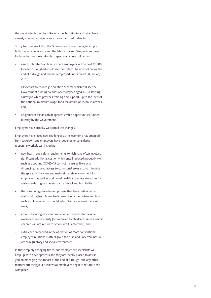the worst affected sectors like aviation, hospitality and retail have already announced significant closures and redundancies.

To try to counteract this, the Government is continuing to support both the wider economy and the labour market. See previous page for broader measures taken but, specifically on employment:

- **•** a new, job retention bonus where employers will be paid £1,000 for each furloughed employee that returns to work following the end of furlough and remains employed until at least 31 January 2021;
- **•** a kickstart six month job creation scheme which will see the Government funding salaries of employees aged 16-24 starting a new job which provides training and support, up to the level of the national minimum wage, for a maximum of 25 hours a week; and
- **•** a significant expansion of apprenticeship opportunities funded directly by the Government.

Employers have broadly welcomed the changes.

Employers have faced new challenges as the economy has emerged from lockdown and employers have reopened or considered reopening workplaces, including:

- **•** new health and safety requirements (which have often involved significant additional cost or which entail reduced productivity) such as adopting COVID-19 control measures like social distancing, reduced access to communal areas etc. to minimise the spread of the virus and maintain a safe environment for employees (as well as additional health and safety measures for customer-facing businesses such as retail and hospitality);
- **•** the onus being placed on employers that have until now had staff working from home to determine whether, when and how such employees can or should return to their normal place of work;
- **•** accommodating more and more varied requests for flexible working than previously (often driven by childcare issues as most children will not return to school until September); and
- **•** extra caution needed in the operation of more conventional employee relations matters given the fluid and uncertain nature of the regulatory and social environment.

In these rapidly changing times, our employment specialists will keep up with developments and they are ideally placed to advise you on managing the impact of the end of furlough, and any other matters affecting your business as employees begin to return to the workplace.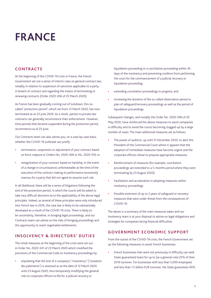### <span id="page-5-0"></span>**FRANCE**

#### **CONTRACTS**

At the beginning of the COVID-19 crisis in France, the French Government set out a series of interim rules on general contract law, notably in relation to suspension of sanctions applicable to a party in breach of contract and regarding the means of terminating or renewing contracts (Order 2020-306 of 25 March 2020).

As France has been gradually coming out of lockdown, this socalled "protection period", which ran from 12 March 2020, has now terminated as at 23 June 2020. As a result, parties to private law contracts can generally recommence their enforcement. However, time periods that became suspended during the protection period, recommence as of 23 June.

Our Contracts team can also advise you, on a case-by-case basis, whether the COVID-19 outbreak can justify:

- **•** termination, suspension or adjustment of your contract based on force majeure or Orders No. 2020-306 or No. 2020-316; or
- **•** renegotiation of your contract based on hardship, in the event of a change in circumstances unforeseeable at the time of the execution of the contract making its performance excessively onerous for a party that did not agree to assume such risk.

In all likelihood, there will be a series of litigations following the end of the protection period, in which the courts will be asked to take very difficult decisions as to the applicability of the above legal principles. Indeed, as several of these principles were only introduced into French law in 2016, the case law is likely to be substantially developed as a result of the COVID-19 crisis. There is likely to be uncertainty, therefore, in bringing legal proceedings, and our Contracts team can advise on the risks of bringing proceedings and the opportunity to reach negotiated settlements.

#### **INSOLVENCY & DIRECTORS' DUTIES**

The initial measures at the beginning of the crisis were set out in Order No. 2020-341 of 23 March 2020 which modified the provisions of the Commercial Code on insolvency proceedings by:

**•** stipulating that the test of a company's "insolvency" ("cessation des paiements") is assessed as at the date of 12 March 2020 until 23 August 2020, thus temporarily modifying the general rule on corporate officers to file for a judicial recovery or

liquidation proceeding or a conciliation proceeding within 45 days of the insolvency and preventing creditors from petitioning the court for the commencement of a judicial recovery or liquidation proceeding;

- **•** extending conciliation proceedings in progress; and
- **•** increasing the duration of the so-called observation period or plan of safeguard/recovery proceedings as well as the period of liquidation proceedings.

Subsequent changes, and notably the Order No. 2020-596 of 20 May 2020, have reinforced the above measures to assist companies in difficulty and to avoid the courts becoming clogged-up by a large number of cases. The main additional measures are as follows.

- **•** The power of auditors, up until 31 December 2020, to alert the President of the Commercial Court where it appears that the adoption of immediate measures have become urgent and the corporate officers refuse to propose appropriate measures.
- **•** Reinforcement of measures (for example, conciliation proceedings are extended to a 5-months period where they were terminating by 23 August 2020).
- **•** Facilitation and acceleration in adopting measures within insolvency proceedings.
- **•** Possible extension of up to 2 years of safeguard or recovery measures that were under threat from the consequences of COVID-19.

The above is a summary of the main measures taken and our Insolvency team is at your disposal to advise on legal obligations and strategies for companies facing financial difficulties.

#### **GOVERNMENT ECONOMIC SUPPORT**

From the outset of the COVID-19 crisis, the French Government set up the following measures to assist French businesses:

**•** French businesses that were not previously in difficulty can seek State-guaranteed loans for up to (as a general rule) 25% of their 2019 turnover. For businesses with less than 5,000 employees and less than 1.5 billion EUR turnover, the State guarantees 90%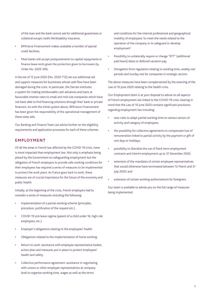of the loan and the bank cannot ask for additional guarantees or collateral except credit life/disability insurance.

- **•** BPIFrance Financement makes available a number of special credit facilities.
- **•** Most banks will accept postponements to capital repayments or finance lease rents given the protection given to borrowers by Order No. 2020-306.

A Decree of 12 June 2020 (No. 2020-712) set out additional aid and support measures for businesses whose cash flow have been damaged during the crisis. In particular, the Decree institutes a system for making reimbursable cash advances and loans at favourable interest rates to small and mid-size companies which have not been able to find financing solutions through their bank or private financers. As with the initial system above, BPIFrance Financement has been given the responsibility of the operational management of these state aids.

Our Banking and Finance Team can advise further on the eligibility requirements and application processes for each of these schemes.

#### **EMPLOYMENT**

Of all the areas in French law affected by the COVID-19 crisis, none is more impacted than employment law. Not only is emphasis being placed by the Government on safeguarding employment but the obligation of French employers to provide safe working conditions for their employees has required a series of measures to be implemented to protect the work place. As France goes back to work, these measures are of crucial importance for the future of the economy and public health.

Initially, at the beginning of the crisis, French employers had to consider a series of measures including the following:

- **•** Implementation of a partial working scheme (principles, procedure, justification of the request etc.).
- **•** COVID-19 sick leave regime (parent of a child under 16, high-risk employees, etc.).
- **•** Employer's obligations relating to the employees' health.
- **•** Obligations related to the implementation of home working.
- **•** Return to work: assistance with employee representative bodies, action plan and measures put in place to protect employees' health and safety.
- **•** Collective performance agreement: assistance in negotiating with unions or other employee representatives at company level to organise working time, wages as well as the terms

and conditions for the internal professional and geographical mobility of employees 'to meet the needs related to the operation of the company or to safeguard or develop employment'.

- **•** Possibility to unilaterally require or change "RTT" (additional paid leave) dates or deferred vacation pay.
- **•** Derogation from regulation relating to working time, weekly rest periods and Sunday rest for companies in strategic sectors.

The above measures have been complemented by the enacting of the Law of 10 June 2020 relating to the health crisis.

Our Employment team is at your disposal to advise on all aspects of French employment law linked to the COVID-19 crisis, bearing in mind that the Law of 10 June 2020 contains significant provisions regarding employment law including:

- **•** new rules to adapt partial working time to various sectors of activity and category of employees;
- **•** the possibility for collective agreements to compensate loss of remuneration linked to partial activity by the payment or gift of rest days or holidays;
- **•** possibility to liberalise the use of fixed-term employment contracts and interim employment up to 31 December 2020;
- **•** extension of the mandates of certain employee representatives that would otherwise have terminated between 12 March and 31 July 2020; and
- **•** extension of certain working authorisations for foreigners.

Our team is available to advise you on the full range of measures being implemented.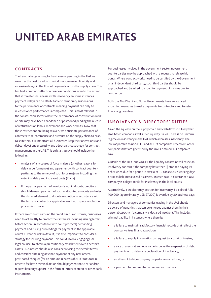### <span id="page-7-0"></span>**UNITED ARAB EMIRATES**

#### **CONTRACTS**

The key challenge arising for businesses operating in the UAE as we enter the post lockdown period is a squeeze on liquidity and excessive delays in the flow of payments across the supply chain. This has had a dramatic effect on business conditions even to the extent that it threatens businesses with insolvency. In some instances, payment delays can be attributable to temporary suspensions to the performance of contracts meaning payment can only be released once performance is completed. This is most relevant in the construction sector where the performance of construction work on site may have been abandoned or postponed pending the release of restrictions on labour movement and work permits. Now that those restrictions are being relaxed, we anticipate performance of contracts to re-commence and pressure on the supply chain to ease. Despite this, it is important all businesses keep their operations (and debtor days) under scrutiny and adopt a strict strategy for contract management in the UAE. This strict strategy should include the following:

- **•** Analysis of any causes of force majeure (or other reasons for delay in performance) and agreement with contract counterparties as to the remedy of such force majeure including the extent of delay and increased costs (if any).
- **•** If the partial payment of invoices is not in dispute, creditors should demand payment of such undisputed amounts and refer the disputed element to dispute resolution in accordance with the terms of contract or applicable law if no dispute resolution process is in place.

If there are concerns around the credit risk of a customer, businesses need to act swiftly to protect their interests including issuing letters before action (in accordance with court protocol) demanding payment and issuing proceedings for payment in the applicable courts. Given the risk in default, it is also important to consider a strategy for securing payment. This could involve engaging UAE legal counsel to obtain a precautionary attachment over a debtor's assets. Businesses should also consider revising their credit terms and consider obtaining advance payment of any new orders, post-dated cheques (for an amount in excess of AED 200,000) in order to facilitate criminal action should payment not clear and/or request liquidity support in the form of letters of credit or other bank instruments.

For businesses involved in the government sector, government counterparties may be approached with a request to release bid bonds. Where contract works need to be certified by the Government or an independent third party, such third parties should be approached and be asked to expedite payment of monies due to contractors.

Both the Abu Dhabi and Dubai Governments have announced expedited measures to make payments to contractors and to return financial guarantees.

#### **INSOLVENCY & DIRECTORS' DUTIES**

Given the squeeze on the supply chain and cash-flow, it is likely that UAE based companies will suffer liquidity issues. There is no uniform regime on insolvency in the UAE which addresses insolvency. The laws applicable to non-DIFC and ADGM companies differ from other companies that are governed by the UAE Commercial Companies Law.

Outside of the DIFC and ADGM, the liquidity constraint will cause an insolvency concern if the company has either (i) stopped paying its debts when due for a period in excess of 30 consecutive working days or (ii) its liabilities exceed its assets. In each case, a director of a UAE company is obliged to file for insolvency in the local courts.

Alternatively, a creditor may petition for insolvency if a debt of AED 100,000 (approximately USD 27,200) is overdue by 30 business days.

Directors and managers of companies trading in the UAE should be aware of penalties that can be enforced against them in their personal capacity if a company is declared insolvent. This includes criminal liability in instances where there is:

- **•** a failure to maintain satisfactory financial records that reflect the company's true financial position;
- **•** a failure to supply information on request to a court or trustee;
- **•** a sale of assets at an undervalue to delay the suspension of debt payments or to delay any declaration of insolvency;
- **•** an attempt to hide company property from creditors; or
- **•** a payment to one creditor in preference to others.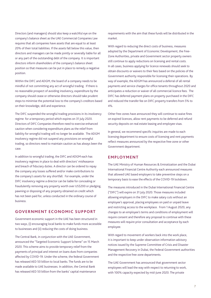Directors (and managers) should also keep a watchful eye on the company's balance sheet as the UAE Commercial Companies Law requires that all companies have assets that are equal to at least 20% of their total liabilities. If the assets fall below this value, then directors and managers can be made jointly or severally liable for all or any part of the outstanding debt of the company. It is important directors inform shareholders of the company's balance sheet position so that measures can be put in place to remedy a negative position.

Within the DIFC and ADGM, the board of a company needs to be mindful of not committing any act of wrongful trading. If there is no reasonable prospect of avoiding insolvency, expenditure by the company should cease or otherwise directors should take prudent steps to minimise the potential loss to the company's creditors based on their knowledge, skill and experience.

The DIFC suspended the wrongful trading provisions in its insolvency regime for a temporary period which expires on 31 July 2020. Directors of DIFC Companies therefore need to exercise enhanced caution when considering expenditure plans as the relief from liability for wrongful trading will no longer be available. The ADGM insolvency regime did not suspend any provisions on wrongful trading, so directors need to maintain caution as has always been the case.

In addition to wrongful trading, the DIFC and ADGM each has insolvency regimes in place to deal with directors' misfeasance and breach of fiduciary duties. A director can be ordered to repay the company any losses suffered and/or make contributions to the company's assets for any shortfall. For example, under the DIFC insolvency regime a director can be liable for concealing or fraudulently removing any property worth over US\$200 or pledging, pawning or disposing of any property obtained on credit which has not been paid for, unless conducted in the ordinary course of business.

#### **GOVERNMENT ECONOMIC SUPPORT**

Government economic support in the UAE has been structured in two ways, (i) encouraging local banks to make funds more accessible to businesses and (ii) reducing the costs of doing business.

The Central Bank, in conjunction with the UAE Government, announced the "Targeted Economic Support Scheme" on 15 March 2020. This scheme aims to provide temporary relief from the payments of principal and interest on loans dues from companies affected by COVID-19. Under the scheme, the federal Government has released AED 50 billion to local banks. The funds are to be made available to UAE businesses. In addition, the Central Bank has released AED 50 billion from the banks' capital maintenance

requirements with the aim that these funds will be distributed in the market.

With regard to reducing the direct costs of business, measures adopted by the Department of Economic Development, the Free-Zone Authorities, private and Government sector property owners still continue to apply reductions on licensing and rental costs. In all cases, business applying for licence renewals should seek to obtain discounts or waivers to their fees based on the policies of the Government authority responsible for licensing their operations. By way of example, the ADGM has announced a deferral of all rental payments and service charges for office tenants throughout 2020 and anticipates a reduction or waiver of all commercial licence fees. The DIFC has deferred payment plans on property purchased in the DIFC and reduced the transfer fee on DIFC property transfers from 5% to 4%.

Other free-zones have announced they will continue to waive fines on expired licences, allow rent payments to be deferred and refund security deposits on real estate leasing and employee visas.

In general, we recommend specific inquiries are made to each licensing department to ensure costs of licensing and rent payments reflect measures announced by the respective free-zone or other Government department.

#### **EMPLOYMENT**

The UAE Ministry of Human Resources & Emiratization and the Dubai International Financial Centre Authority each announced measures that allowed UAE based employers to take preventive steps on a temporary basis to ease the effects of the COVID-19 lockdown.

The measures introduced in the Dubai International Financial Centre ("DIFC") will expire on 31 July 2020. Those measures included allowing employers in the DIFC to make salary cuts without an employee's approval, placing employees on paid or unpaid leave and restricting access to the workplace. From 1 August 2020, any changes to an employee's terms and conditions of employment will require consent and therefore any proposal to continue with these measures will require prior consultation and acceptance by each employee.

With regard to movement of workers back into the work place, it is important to keep under observation information advisory notices issued by the Supreme Committee of Crisis and Disaster Management Recovery in Dubai, the Federal Government authorities and the respective free-zone departments.

The UAE Government has announced that government sector employees will lead the way with respect to returning to work, with 100% capacity expected by mid-June 2020. The private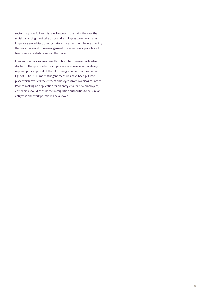sector may now follow this rule. However, it remains the case that social distancing must take place and employees wear face masks. Employers are advised to undertake a risk assessment before opening the work place and to re-arrangement office and work place layouts to ensure social distancing can the place.

Immigration policies are currently subject to change on a day-today basis. The sponsorship of employees from overseas has always required prior approval of the UAE immigration authorities but in light of COVID -19 more stringent measures have been put into place which restricts the entry of employees from overseas countries. Prior to making an application for an entry visa for new employees, companies should consult the immigration authorities to be sure an entry visa and work permit will be allowed.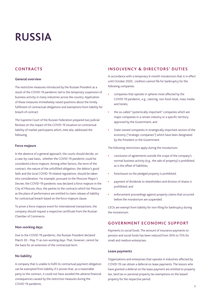### <span id="page-10-0"></span>**RUSSIA**

#### **CONTRACTS**

#### **General overview**

The restrictive measures introduced by the Russian President as a result of the COVID-19 pandemic led to the temporary suspension of business activity in many industries across the country. Application of these measures immediately raised questions about the timely fulfilment of contractual obligations and exemptions from liability for breach of contract.

The Supreme Court of the Russian Federation prepared two Judicial Reviews on the impact of the COVID-19 situation on contractual liability of market participants which, *inter alia*, addressed the following.

#### **Force majeure**

In the absence of a general approach, the courts should decide, on a case-by-case basis, whether the COVID-19 pandemic could be considered a force majeure. Among other factors, the term of the contract, the nature of the unfulfilled obligation, the debtor's good faith and the local COVID-19 related regulations, should be taken into consideration. For example, pursuant to the Moscow Mayor's Decree, the COVID-19 pandemic was declared a force majeure in the City of Moscow; thus, the parties to the contracts which list Moscow as the place of performance are entitled to claim release of liability for contractual breach based on the force majeure clause.

To prove a force majeure event for international transactions, the company should request a respective certificate from the Russian Chamber of Commerce.

#### **Non-working days**

Due to the COVID-19 pandemic, the Russian President declared March 30 - May 11 as non-working days. That, however, cannot be the basis for an extension of the contractual term.

#### **No liability**

A company that is unable to fulfil its contractual payment obligation can be exempted from liability if it proves that, as a reasonable party to the contract, it could not have avoided the adverse financial consequences caused by the restrictive measures during the COVID-19 pandemic.

#### **INSOLVENCY & DIRECTORS' DUTIES**

In accordance with a temporary 6-month moratorium that is in effect until October 2020, creditors cannot file for bankruptcy for the following companies:

- **•** companies that operate in spheres most affected by the COVID-19 pandemic, e.g., catering, non-food retail, mass media and hotels;
- **•** the so-called "systemically important" companies which are major companies in a certain industry or a specific territory approved by the Government; and
- **•** State-owned companies in strategically important sectors of the economy ("strategic companies") which have been designated by the President or the Government.

The following restrictions apply during the moratorium:

- **•** conclusion of agreements outside the scope of the company's normal business activity (e.g., the sale of property) is prohibited, as is the offset of liabilities;
- **•** foreclosure on the pledged property is prohibited;
- **•** payment of dividends to shareholders and division of shares is prohibited; and
- **•** enforcement proceedings against property claims that occurred before the moratorium are suspended.

CEOs are exempt from liability for non-filing for bankruptcy during the moratorium.

#### **GOVERNMENT ECONOMIC SUPPORT**

Payments to social funds. The amount of insurance payments to pension and social funds has been reduced from 30% to 15% for small and medium enterprises.

#### **Lease payments**

Organizations and enterprises that operate in industries affected by COVID-19 can obtain a deferral on lease payments. The lessors who have granted a deferral on the lease payment are entitled to property tax, land tax or personal property tax exemptions on the leased property for the respective period.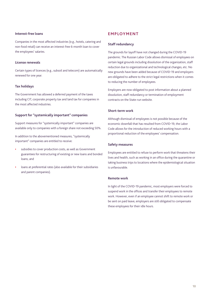#### **Interest-free loans**

Companies in the most affected industries (e.g., hotels, catering and non-food retail) can receive an interest-free 6-month loan to cover the employees' salaries.

#### **License renewals**

Certain types of licences (e.g., subsoil and telecom) are automatically renewed for one year.

#### **Tax holidays**

The Government has allowed a deferred payment of the taxes including CIT, corporate property tax and land tax for companies in the most affected industries.

#### **Support for "systemically important" companies**

Support measures for "systemically important" companies are available only to companies with a foreign share not exceeding 50%.

In addition to the abovementioned measures, "systemically important" companies are entitled to receive:

- **•** subsidies to cover production costs, as well as Government guarantees for restructuring of existing or new loans and bonded loans; and
- **•** loans at preferential rates (also available for their subsidiaries and parent companies).

#### **EMPLOYMENT**

#### **Staff redundancy**

The grounds for layoff have not changed during the COVID-19 pandemic. The Russian Labor Code allows dismissal of employees on certain legal grounds including dissolution of the organization, staff reduction due to organizational and technological changes, etc. No new grounds have been added because of COVID-19 and employers are obligated to adhere to the strict legal restrictions when it comes to reducing the number of employees.

Employers are now obligated to post information about a planned dissolution, staff redundancy or termination of employment contracts on the State-run website.

#### **Short-term work**

Although dismissal of employees is not possible because of the economic downfall that has resulted from COVID-19, the Labor Code allows for the introduction of reduced working hours with a proportional reduction of the employees' compensation.

#### **Safety measures**

Employees are entitled to refuse to perform work that threatens their lives and health, such as working in an office during the quarantine or taking business trips to locations where the epidemiological situation is unfavourable.

#### **Remote work**

In light of the COVID-19 pandemic, most employers were forced to suspend work in the offices and transfer their employees to remote work. However, even if an employee cannot shift to remote work or be sent on paid leave, employers are still obligated to compensate these employees for their idle hours.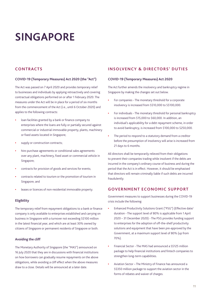### <span id="page-12-0"></span>**SINGAPORE**

#### **CONTRACTS**

#### **COVID-19 (Temporary Measures) Act 2020 (the "Act")**

The Act was passed on 7 April 2020 and provides temporary relief to businesses and individuals by applying retroactively and covering contractual obligations performed on or after 1 February 2020. The measures under the Act will be in place for a period of six months from the commencement of the Act (i.e., until 6 October 2020) and applies to the following contracts:

- **•** loan facilities granted by a bank or finance company to enterprises where the loans are fully or partially secured against commercial or industrial immovable property, plants, machinery or fixed assets located in Singapore;
- **•** supply or construction contracts;
- **•** hire-purchase agreements or conditional sales agreements over any plant, machinery, fixed asset or commercial vehicle in Singapore;
- **•** contracts for provision of goods and services for events;
- **•** contracts related to tourism or the promotion of tourism in Singapore; and
- **•** leases or licences of non-residential immovable property.

#### **Eligibility**

The temporary relief from repayment obligations to a bank or finance company is only available to enterprises established and carrying on business in Singapore with a turnover not exceeding S\$100 million in the latest financial year, and which are at least 30% owned by citizens of Singapore or permanent residents of Singapore or both.

#### **Avoiding the cliff**

The Monetary Authority of Singapore (the "MAS") announced on 16 July 2020 that they are in discussions with financial institutions on how borrowers can gradually resume repayments on the above obligations, while avoiding a cliff effect when the above measures draw to a close. Details will be announced at a later date.

#### **INSOLVENCY & DIRECTORS' DUTIES**

#### **COVID-19 (Temporary Measures) Act 2020**

The Act further amends the insolvency and bankruptcy regime in Singapore by making the changes set out below.

- **•** For companies The monetary threshold for a corporate insolvency is increased from S\$10,000 to S\$100,000.
- **•** For individuals The monetary threshold for personal bankruptcy is increased from \$15,000 to \$60,000. In addition, an individual's applicability for a debt repayment scheme, in order to avoid bankruptcy, is increased from \$100,000 to \$250,000.
- **•** The period to respond to a statutory demand from a creditor before the presumption of insolvency will arise is increased from 21 days to 6 months.

All directors shall be temporarily relieved from their obligations to prevent their companies trading while insolvent if the debts are incurred in the company's ordinary course of business and during the period that the Act is in effect. However, it should be emphasised that directors will remain criminally liable if such debts are incurred fraudulently.

#### **GOVERNMENT ECONOMIC SUPPORT**

Government measures to support businesses during the COVID-19 crisis include the following:

- **•** Enhanced Productivity Solutions Grant ("PSG") (Effective date/ duration - The support level of 80% is applicable from 1 April 2020 – 31 December 2020) - The PSG provides funding support to enterprises for the adoption of off-the-shelf productivity solutions and equipment that have been pre-approved by the Government, at a maximum support level of 80% (up from 70%).
- **•** Financial Sector The MAS had announced a S\$125 million package to help financial institutions and fintech companies to strengthen long-term capabilities.
- **•** Aviation Sector The Ministry of Finance has announced a S\$350 million package to support the aviation sector in the forms of rebates and waiver of charges.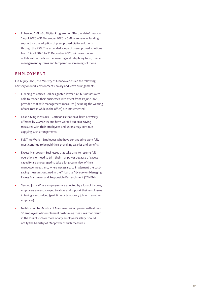**•** Enhanced SMEs Go Digital Programme (Effective date/duration: 1 April 2020 – 31 December 2020) - SMEs can receive funding support for the adoption of preapproved digital solutions through the PSG. The expanded scope of pre-approved solutions from 1 April 2020 to 31 December 2020, will cover online collaboration tools, virtual meeting and telephony tools, queue management systems and temperature screening solutions.

#### **EMPLOYMENT**

On 17 July 2020, the Ministry of Manpower issued the following advisory on work environments, salary and leave arrangements:

- **•** Opening of Offices All designated lower risks businesses were able to reopen their businesses with effect from 19 June 2020, provided that safe management measures (including the wearing of face masks while in the office) are implemented.
- **•** Cost-Saving Measures Companies that have been adversely affected by COVID-19 and have worked out cost-saving measures with their employees and unions may continue applying such arrangements.
- **•** Full Time Work Employees who have continued to work fully must continue to be paid their prevailing salaries and benefits.
- **•** Excess Manpower– Businesses that take time to resume full operations or need to trim their manpower because of excess capacity are encouraged to take a long-term view of their manpower needs and, where necessary, to implement the costsaving measures outlined in the Tripartite Advisory on Managing Excess Manpower and Responsible Retrenchment (TANEM).
- **•** Second Job Where employees are affected by a loss of income, employers are encouraged to allow and support their employees in taking a second job (part time or temporary job with another employer).
- **•** Notification to Ministry of Manpower Companies with at least 10 employees who implement cost-saving measures that result in the loss of 25% or more of any employee's salary, should notify the Ministry of Manpower of such measures.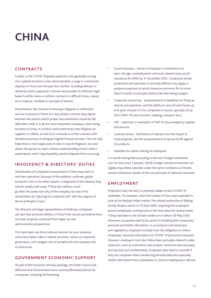### <span id="page-14-0"></span>**CHINA**

#### **CONTRACTS**

Further to the COVID-19 global epidemic crisis generally turning into a global economic crisis, there has been a surge in contractual disputes in China over the past few months, including defaults in deliveries and/or payments. Chinese law provides for different legal bases to either revise or enforce contracts in difficult times, mainly: force majeure, hardship or principle of fairness.

Nevertheless, the chances of winning a litigation or arbitration are low in practice if there isn't any written contract duly signed between the parties and/or proper documentation issued by the defendant itself. It is all the more important nowadays, when doing business in China, to conduct some preliminary due diligence on suppliers or clients, as well as to conclude a written contract with detailed provisions in bilingual English/Chinese versions. This not only helps from a strict legal point of view in case of litigation, but also allows the parties to reach a better understanding of each other's expectations and it may hopefully prevent disputes from occurring.

#### **INSOLVENCY & DIRECTORS' DUTIES**

Shareholders of companies incorporated in China may want to end their operations because of the epidemic outbreak, global economic crisis or for other reasons. Irrespective of the reasons, they cannot simply walk away. If they did creditors could go after the assets not only of the company, but also of its shareholders by "piercing the corporate veil" with the support of the local People's Court.

The directors and legal representative of bankrupt companies can also face personal liability in China if the closure procedures have not been properly conducted from legal, tax and administrative perspectives.

Our local team can find a tailored solution for your situation, restructure debts, take or release securities, advise on corporate governance, and mitigate risks of penalties for the company and its executives.

#### **GOVERNMENT ECONOMIC SUPPORT**

As part of the economic stimulus package, the State Council and different local Governments have issued preferential policies for companies, including the following:

- **•** Social insurance waiver of employer's contributions to basic old-age, unemployment and work-related injury social insurances for SMEs by 31 December 2020. Companies whose production and operation is seriously difficult may apply to postpone payment of social insurance premiums for no more than 6 months in principal without late fees being charged.
- **•** Corporate income tax postponement of deadlines for filing tax returns and payments, and the ability to carry forward losses up to 8 years instead of 5 for companies in sectors specially hit by the COVID-19 crisis (tourism, catering, transport etc.).
- **•** VAT reduction or exemption of VAT for key emergency supplies and services.
- **•** Customs duties facilitation of clearance for the import of medical goods, and the postponement of special tariffs against US products.
- **•** Subsidies for online training of employees.

It is worth noting that according to the new Foreign Investment Law (in force since 1 January, 2020), foreign invested enterprises can legally enjoy these subsidies under the same conditions as Chinese owned enterprises, thanks to the new principle of national treatment.

#### **EMPLOYMENT**

Employers have the duty to promptly adapt to new COVID-19 outbreaks. For example, when the number of new cases exploded in June at the Beijing Xinfadi market, five related authorities of Beijing jointly issued a notice on 14 June 2020, requiring that employers prevent employees coming back to the work place for several weeks if they had been to the Xinfadi market on or before 30 May 2020. Moreover companies need to be careful in handling their employees' personal and health information. In accordance with local laws and regulations, employers actually have the obligation to collect employees' personal information for COVID-19 prevention purposes. However, employers must also follow basic principles related to data collection, such as notification and consent, minimum and necessary, and security and confidentiality. Employers also need to consider if they are compliant when transferring personal data and especially health information from subsidiaries in China to headquarters abroad.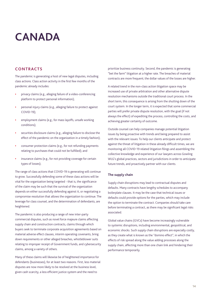### <span id="page-15-0"></span>**CANADA**

#### **CONTRACTS**

The pandemic is generating a host of new legal disputes, including class actions. Class action activity in the first few months of the pandemic already includes:

- **•** privacy claims (e.g., alleging failure of a video-conferencing platform to protect personal information);
- **•** personal injury claims (e.g., alleging failure to protect against COVID-19);
- **•** employment claims (e.g., for mass layoffs, unsafe working conditions);
- **•** securities disclosure claims (e.g., alleging failure to disclose the effect of the pandemic on the organization in a timely fashion);
- **•** consumer protection claims (e.g., for not refunding payments relating to purchases that could not be fulfilled); and
- **•** insurance claims (e.g., for not providing coverage for certain types of losses);

The range of class actions that COVID-19 is generating will continue to grow. Successfully defending some of these class actions will be vital for the organization being targeted - that is, the significance of the claim may be such that the survival of the organization depends on either successfully defending against it, or negotiating a compromise resolution that allows the organization to continue. The leverage for class counsel, and the determination of defendants, are heightened.

The pandemic is also producing a range of new inter-party commercial disputes, such as novel force majeure claims affecting supply chain and construction contracts, claims through which buyers seek to terminate corporate acquisition agreements based on material adverse effect clauses, interim operating covenants, bring down requirements or other alleged breaches, whistleblower suits relating to improper receipt of Government funds, and cybersecurity claims, among a variety of others.

Many of these claims will likewise be of heightened importance for defendants (businesses), for at least two reasons. First, less material disputes are now more likely to be resolved at the business level, given cash scarcity, a less efficient justice system and the need to

prioritize business continuity. Second, the pandemic is generating "bet the farm" litigation at a higher rate. The breaches of material contracts are more frequent; the dollar values of the losses are higher.

A related trend in the non-class action litigation space may be increased use of private arbitration and other alternative dispute resolution mechanisms outside the traditional court process. In the short term, this consequence is arising from the shutting down of the court system. In the longer term, it is expected that some commercial parties will prefer private dispute resolution, with the goal (if not always the effect) of expediting the process, controlling the costs, and achieving greater certainty of outcome.

Outside counsel can help companies manage potential litigation issues by being proactive with trends and being prepared to assist with the relevant issues: To help our clients anticipate and protect against the threat of litigation in these already difficult times, we are monitoring all COVID-19 related litigation filings and assembling the collective knowledge and experience of our lawyers across Gowling WLG's global practices, sectors and jurisdictions in order to anticipate future trends, and proactively partner with our clients.

#### **The supply chain**

Supply chain disruptions may lead to contractual disputes and defaults. Many contracts have lengthy schedules to accompany boilerplate clauses. It may be the case that technical issues or defaults could provide options for the parties, which may include the option to terminate the contract. Companies should take care before terminating a contract, as there may be significant legal risks associated.

Global value chains (GVCs) have become increasingly vulnerable to systemic disruptions, including environmental, geopolitical, and economic shocks. Such supply chain disruptions are especially costly, as they create what is known as the "domino effect", in which the effects of risk spread along the value adding processes along the supply chain, affecting more than one chain link and hindering their performance temporarily.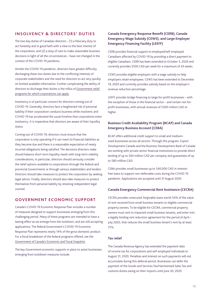#### **INSOLVENCY & DIRECTORS' DUTIES**

The two key duties of Canadian directors – (1) a fiduciary duty to act honestly and in good faith with a view to the best interest of the corporation; and (2) a duty of care to make reasonable business decisions in light of all the circumstances – have not changed in the context of the COVID-19 pandemic.

Amidst the COVID-19 pandemic, directors have greater difficulty discharging these two duties due to the conflicting interests of corporate stakeholders and the need for directors to act very quickly on limited available information. Further complicating the ability of directors to discharge their duties is the influx of [Government relief](https://gowlingwlg.com/en/insights-resources/guides/2020/covid-19-government-relief-programs-guide/)  [programs for which corporations can apply](https://gowlingwlg.com/en/insights-resources/guides/2020/covid-19-government-relief-programs-guide/).

Insolvency is of particular concern for directors coming out of COVID-19. Generally, directors face a heightened risk of personal liability if their corporation conducts business while insolvent; and COVID-19 has accelerated the usual timeline that corporations enter insolvency. It is imperative that directors are aware of their liquidity status.

Coming out of COVID-19, directors must ensure that the corporation is only operating if it can meet its financial liabilities as they become due and there is a reasonable expectation of newly incurred obligations being satisfied. The decisions directors make should balance short-term liquidity needs with long-term viability considerations; in particular, directors should seriously consider the relief options available to corporations through the federal and provincial Governments or through various stakeholders and lenders. Directors should take measures to protect the corporation by seeking legal advice. Finally, directors should also take measures to protect themselves from personal liability by retaining independent legal counsel.

#### **GOVERNMENT ECONOMIC SUPPORT**

Canada's COVID-19 Economic Response Plan includes a number of measures designed to support businesses emerging from this challenging period. Many of these programs are intended to have a lasting effect as we emerge from the lockdown, and are still accepting applications. The federal Government's COVID-19 Economic Response Plan represents nearly 14% of the gross domestic product. For a fiscal breakdown of the federal programs offered, see the [Government of Canada's Economic and Fiscal Snapshot](https://www.canada.ca/en/department-finance/services/publications/economic-fiscal-snapshot.html).

The key Government economic supports in place to assist businesses emerging from lockdown measures include:

#### **Canada Emergency Response Benefit (CERB), Canada Emergency Wage Subsidy (CEWS), and Large Employer Emergency Financing Facility (LEEFF)**

CERB provides financial support to employed/self-employed Canadians affected by COVID-19 by providing a direct payment to eligible Canadians. CERB has been extended to October 3, 2020 and currently provides \$500 CAD per week for a maximum of 24 weeks.

CEWS provides eligible employers with a wage subsidy to help employers retain employees. CEWS has been extended to December 19, 2020 and currently provides subsidy based on the employer's revenue reduction percentage.

LEEFF provides bridge financing to large for-profit businesses – with the exception of those in the financial sector – and certain not-forprofit businesses, with annual revenues of \$300 million CAD or higher.

#### **Business Credit Availability Program (BCAP) and Canada Emergency Business Account (CEBA)**

BCAP offers additional credit support to small and mediumsized businesses across all sectors. Through this program, Export Development Canada and the Business Development Bank of Canada are working with private sector financial institutions to provide direct lending of up to \$60 million CAD per company and guarantees of up to \$80 million CAD.

CEBA provides small businesses up to \$40,000 CAD in interestfree loans to support non-deferrable costs during the COVID-19 pandemic. Applications are accepted until 31 August 2020.

#### **Canada Emergency Commercial Rent Assistance (CECRA)**

CECRA provides unsecured, forgivable loans worth 50% of the value of rent received from small business tenants to eligible commercial property owners. To be eligible for CECRA, commercial property owners must rent to impacted small business tenants, and enter into a legally binding rent reduction agreement for the period of April – July 2020, that reduces the small business tenant's rent by at least 75%.

#### **Tax relief**

The Canada Revenue Agency has extended the payment date of income tax for corporations and self-employed individuals to August 31, 2020. Penalties and interest on such payments will not accumulate during this deferral period. Businesses can defer the payment of the Goods and Services Tax/Harmonized Sales Tax and customs duties owing on their imports until June 30, 2020.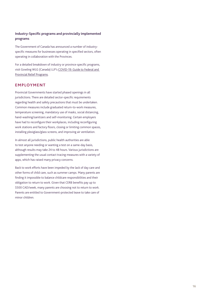#### **Industry-Specific programs and provincially implemented programs**

The Government of Canada has announced a number of industryspecific measures for businesses operating in specified sectors, often operating in collaboration with the Provinces.

For a detailed breakdown of industry or province-specific programs, visit Gowling WLG (Canada) LLP's [COVID-19: Guide to Federal and](https://gowlingwlg.com/en/insights-resources/guides/2020/covid-19-government-relief-programs-guide/)  [Provincial Relief Programs](https://gowlingwlg.com/en/insights-resources/guides/2020/covid-19-government-relief-programs-guide/).

#### **EMPLOYMENT**

Provincial Governments have started phased openings in all jurisdictions. There are detailed sector-specific requirements regarding health and safety precautions that must be undertaken. Common measures include graduated return-to-work measures, temperature screening, mandatory use of masks, social distancing, hand-washing/sanitizers and self-monitoring. Certain employers have had to reconfigure their workplaces, including reconfiguring work stations and factory floors, closing or limiting common spaces, installing plexiglass/glass screens, and improving air ventilation.

In almost all jurisdictions, public health authorities are able to test anyone needing or wanting a test on a same-day basis, although results may take 24 to 48 hours. Various jurisdictions are supplementing the usual contact tracing measures with a variety of apps, which has raised many privacy concerns.

Back to work efforts have been impeded by the lack of day care and other forms of child care, such as summer camps. Many parents are finding it impossible to balance childcare responsibilities and their obligation to return to work. Given that CERB benefits pay up to \$500 CAD/week, many parents are choosing not to return to work. Parents are entitled to Government-protected leave to take care of minor children.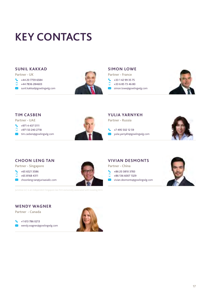## <span id="page-18-0"></span>**KEY CONTACTS**

#### **SUNIL KAKKAD**

**Partner - UK**

- $\begin{array}{cc} \begin{array}{cc} \end{array} \end{array}$  +44 20 7759 6584
- $\Box$ +44 7836 284603
- [sunil.kakkad@gowlingwlg.com](mailto:sunil.kakkad%40gowlingwlg.com?subject=)



#### **SIMON LOWE**

**Partner - France**

- +33 1 42 99 35 75  $\overline{\mathbf{C}}$
- $\Box$ +33 6 85 73 46 80
- **X** [simon.lowe@gowlingwlg.com](mailto:simon.lowe%40gowlingwlg.com?subject=)



#### **TIM CASBEN**

**Partner - UAE**

- $\begin{array}{cc} \begin{array}{cc} \end{array} \end{array}$  +971 4 437 5111
- $\Box$ +971 50 240 2718
- **X** [tim.casben@gowlingwlg.com](mailto:tim.casben%40gowlingwlg.com?subject=)



#### **YULIA YARNYKH**

**Partner - Russia**

 $\begin{array}{r} \begin{array}{cc} \end{array} \end{array}$  +7 495 502 12 59 [yulia.yarnykh@gowlingwlg.com](mailto:yulia.yarnykh%40gowlingwlg.com?subject=)



#### **CHOON LENG TAN**

**Partner - Singapore**

- $\blacktriangleright$ +65 6521 3586
- $\Box$ +65 8168 4311
- $\bowtie$  [choonleng.tan@jurisasiallc.com](mailto:choonleng.tan%40jurisasiallc.com?subject=)

JurisAsia LLC is an independent Singapore law firm exclusively associated with Gowling WLG

### **WENDY WAGNER**

**Partner - Canada**





#### **VIVIAN DESMONTS**

**Partner - China**

- +86 20 3810 3783
- $\Box$ +86 136 6007 1329
- [vivian.desmonts@gowlingwlg.com](mailto:vivian.desmonts%40gowlingwlg.com?subject=)